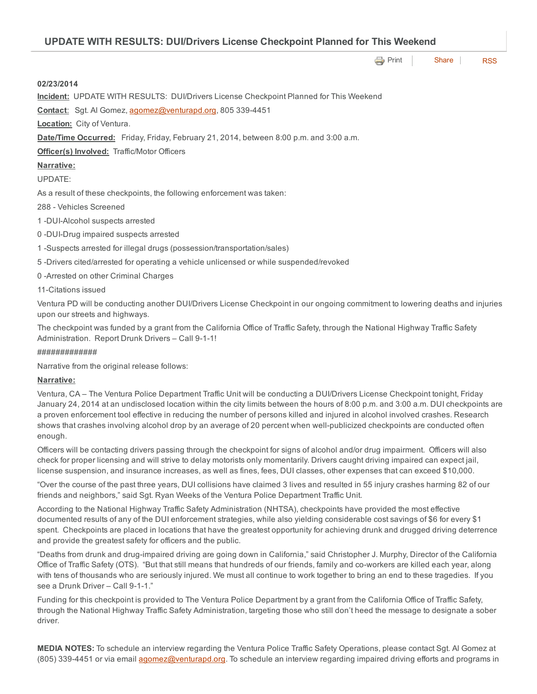| <b>UPDATE WITH RESULTS: DUI/Drivers License Checkpoint Planned for This Weekend</b>                                                                                                                                                                                                                                                                                                                   |
|-------------------------------------------------------------------------------------------------------------------------------------------------------------------------------------------------------------------------------------------------------------------------------------------------------------------------------------------------------------------------------------------------------|
| <b>→</b> Print<br>Share  <br><b>RSS</b>                                                                                                                                                                                                                                                                                                                                                               |
| 02/23/2014                                                                                                                                                                                                                                                                                                                                                                                            |
| <b>Incident:</b> UPDATE WITH RESULTS: DUI/Drivers License Checkpoint Planned for This Weekend                                                                                                                                                                                                                                                                                                         |
| Contact: Sgt. Al Gomez, agomez@venturapd.org, 805 339-4451                                                                                                                                                                                                                                                                                                                                            |
| <b>Location:</b> City of Ventura.                                                                                                                                                                                                                                                                                                                                                                     |
| Date/Time Occurred: Friday, Friday, February 21, 2014, between 8:00 p.m. and 3:00 a.m.                                                                                                                                                                                                                                                                                                                |
| <b>Officer(s) Involved:</b> Traffic/Motor Officers                                                                                                                                                                                                                                                                                                                                                    |
| Narrative:                                                                                                                                                                                                                                                                                                                                                                                            |
| <b>UPDATE:</b>                                                                                                                                                                                                                                                                                                                                                                                        |
| As a result of these checkpoints, the following enforcement was taken:                                                                                                                                                                                                                                                                                                                                |
| 288 - Vehicles Screened                                                                                                                                                                                                                                                                                                                                                                               |
| 1-DUI-Alcohol suspects arrested                                                                                                                                                                                                                                                                                                                                                                       |
| 0-DUI-Drug impaired suspects arrested                                                                                                                                                                                                                                                                                                                                                                 |
| 1 -Suspects arrested for illegal drugs (possession/transportation/sales)                                                                                                                                                                                                                                                                                                                              |
| 5-Drivers cited/arrested for operating a vehicle unlicensed or while suspended/revoked                                                                                                                                                                                                                                                                                                                |
| 0-Arrested on other Criminal Charges                                                                                                                                                                                                                                                                                                                                                                  |
| 11-Citations issued                                                                                                                                                                                                                                                                                                                                                                                   |
| Ventura PD will be conducting another DUI/Drivers License Checkpoint in our ongoing commitment to lowering deaths and injuries<br>upon our streets and highways.                                                                                                                                                                                                                                      |
| The checkpoint was funded by a grant from the California Office of Traffic Safety, through the National Highway Traffic Safety<br>Administration. Report Drunk Drivers - Call 9-1-1!                                                                                                                                                                                                                  |
| #############                                                                                                                                                                                                                                                                                                                                                                                         |
| Narrative from the original release follows:                                                                                                                                                                                                                                                                                                                                                          |
| Narrative:                                                                                                                                                                                                                                                                                                                                                                                            |
| Ventura, CA - The Ventura Police Department Traffic Unit will be conducting a DUI/Drivers License Checkpoint tonight, Friday<br>January 24, 2014 at an undisclosed location within the city limits between the hours of 8:00 p.m. and 3:00 a.m. DUI checkpoints are<br>a proven enforcement tool effective in reducing the number of persons killed and injured in alcohol involved crashes. Research |

Officers will be contacting drivers passing through the checkpoint for signs of alcohol and/or drug impairment. Officers will also check for proper licensing and will strive to delay motorists only momentarily. Drivers caught driving impaired can expect jail, license suspension, and insurance increases, as well as fines, fees, DUI classes, other expenses that can exceed \$10,000.

shows that crashes involving alcohol drop by an average of 20 percent when well-publicized checkpoints are conducted often

enough.

"Over the course of the past three years, DUI collisions have claimed 3 lives and resulted in 55 injury crashes harming 82 of our friends and neighbors," said Sgt. Ryan Weeks of the Ventura Police Department Traffic Unit.

According to the National Highway Traffic Safety Administration (NHTSA), checkpoints have provided the most effective documented results of any of the DUI enforcement strategies, while also yielding considerable cost savings of \$6 for every \$1 spent. Checkpoints are placed in locations that have the greatest opportunity for achieving drunk and drugged driving deterrence and provide the greatest safety for officers and the public.

"Deaths from drunk and drug-impaired driving are going down in California," said Christopher J. Murphy, Director of the California Office of Traffic Safety (OTS). "But that still means that hundreds of our friends, family and co-workers are killed each year, along with tens of thousands who are seriously injured. We must all continue to work together to bring an end to these tragedies. If you see a Drunk Driver - Call 9-1-1."

Funding for this checkpoint is provided to The Ventura Police Department by a grant from the California Office of Traffic Safety, through the National Highway Traffic Safety Administration, targeting those who still don't heed the message to designate a sober driver.

MEDIA NOTES: To schedule an interview regarding the Ventura Police Traffic Safety Operations, please contact Sgt. Al Gomez at (805) 339-4451 or via email [agomez@venturapd.org](mailto:agomez@venturapd.org). To schedule an interview regarding impaired driving efforts and programs in